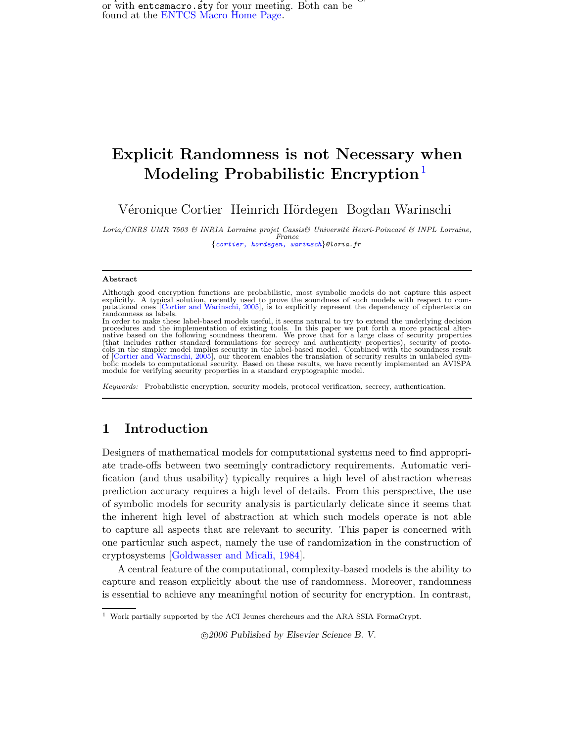Replace this file with prentice  $\mathbf{r}$  files with prentice  $\mathbf{r}$  for  $\mathbf{r}$ or with entcsmacro.sty for your meeting. Both can be found at the [ENTCS](http://www.math.tulane.edu/~entcs) Macro Home Page.

# Explicit Randomness is not Necessary when Modeling Probabilistic Encryption<sup>[1](#page-0-0)</sup>

Véronique Cortier Heinrich Hördegen Bogdan Warinschi

<span id="page-0-0"></span>Loria/CNRS UMR 7503 & INRIA Lorraine projet Cassis& Université Henri-Poincaré & INPL Lorraine, France {[cortier,](mailto:cortier@loria.fr) [hordegen,](mailto:hordegen@loria.fr) [warinsch](mailto:warinsch@loria.fr)}@loria.fr

#### Abstract

Keywords: Probabilistic encryption, security models, protocol verification, secrecy, authentication.

### 1 Introduction

Designers of mathematical models for computational systems need to find appropriate trade-offs between two seemingly contradictory requirements. Automatic verification (and thus usability) typically requires a high level of abstraction whereas prediction accuracy requires a high level of details. From this perspective, the use of symbolic models for security analysis is particularly delicate since it seems that the inherent high level of abstraction at which such models operate is not able to capture all aspects that are relevant to security. This paper is concerned with one particular such aspect, namely the use of randomization in the construction of cryptosystems [\[Goldwasser](#page-13-1) and Micali, 1984].

A central feature of the computational, complexity-based models is the ability to capture and reason explicitly about the use of randomness. Moreover, randomness is essential to achieve any meaningful notion of security for encryption. In contrast,

c 2006 Published by Elsevier Science B. V.

Although good encryption functions are probabilistic, most symbolic models do not capture this aspect<br>explicitly. A typical solution, recently used to prove the soundness of such models with respect to com-<br>putational ones randomness as labels.

In order to make these label-based models useful, it seems natural to try to extend the underlying decision procedures and the implementation of existing tools. In this paper we put forth a more practical alter-native based on the following soundness theorem. We prove that for a large class of security properties (that includes rather standard formulations for secrecy and authenticity properties), security of proto-cols in the simpler model implies security in the label-based model. Combined with the soundness result of [Cortier and [Warinschi,](#page-13-0) 2005], our theorem enables the translation of security results in unlabeled sym-bolic models to computational security. Based on these results, we have recently implemented an AVISPA module for verifying security properties in a standard cryptographic model.

<sup>1</sup> Work partially supported by the ACI Jeunes chercheurs and the ARA SSIA FormaCrypt.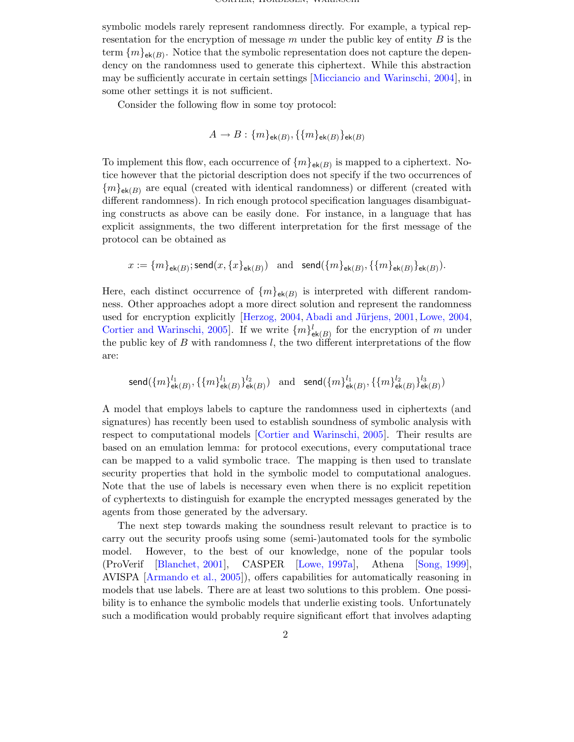symbolic models rarely represent randomness directly. For example, a typical representation for the encryption of message  $m$  under the public key of entity  $B$  is the term  $\{m\}_{\mathsf{ek}(B)}$ . Notice that the symbolic representation does not capture the dependency on the randomness used to generate this ciphertext. While this abstraction may be sufficiently accurate in certain settings [\[Micciancio](#page-14-0) and Warinschi, 2004], in some other settings it is not sufficient.

Consider the following flow in some toy protocol:

$$
A \to B: \{m\}_{\mathsf{ek}(B)}, \{\{m\}_{\mathsf{ek}(B)}\}_{\mathsf{ek}(B)}
$$

To implement this flow, each occurrence of  $\{m\}_{\mathsf{ek}(B)}$  is mapped to a ciphertext. Notice however that the pictorial description does not specify if the two occurrences of  ${m}_{\mathsf{ek}(B)}$  are equal (created with identical randomness) or different (created with different randomness). In rich enough protocol specification languages disambiguating constructs as above can be easily done. For instance, in a language that has explicit assignments, the two different interpretation for the first message of the protocol can be obtained as

$$
x := \{m\}_{\mathsf{ek}(B)}; \mathsf{send}(x, \{x\}_{\mathsf{ek}(B)}) \quad \text{and} \quad \mathsf{send}(\{m\}_{\mathsf{ek}(B)}, \{\{m\}_{\mathsf{ek}(B)}\}_{\mathsf{ek}(B)}).
$$

Here, each distinct occurrence of  $\{m\}_{\mathsf{ek}(B)}$  is interpreted with different randomness. Other approaches adopt a more direct solution and represent the randomness used for encryption explicitly [\[Herzog,](#page-13-2) 2004, Abadi and Jürjens, 2001, [Lowe,](#page-14-1) 2004, Cortier and [Warinschi,](#page-13-0) 2005]. If we write  $\{m\}_{\mathsf{ek}(B)}^l$  for the encryption of m under the public key of  $B$  with randomness  $l$ , the two different interpretations of the flow are:

$$
\textsf{send}(\{m\}_{\textsf{ek}(B)}^{l_1}, \{\{m\}_{\textsf{ek}(B)}^{l_1}\}_{\textsf{ek}(B)}^{l_2}) \textit{ and } \textsf{send}(\{m\}_{\textsf{ek}(B)}^{l_1}, \{\{m\}_{\textsf{ek}(B)}^{l_2}\}_{\textsf{ek}(B)}^{l_3})
$$

A model that employs labels to capture the randomness used in ciphertexts (and signatures) has recently been used to establish soundness of symbolic analysis with respect to computational models [Cortier and [Warinschi,](#page-13-0) 2005]. Their results are based on an emulation lemma: for protocol executions, every computational trace can be mapped to a valid symbolic trace. The mapping is then used to translate security properties that hold in the symbolic model to computational analogues. Note that the use of labels is necessary even when there is no explicit repetition of cyphertexts to distinguish for example the encrypted messages generated by the agents from those generated by the adversary.

The next step towards making the soundness result relevant to practice is to carry out the security proofs using some (semi-)automated tools for the symbolic model. However, to the best of our knowledge, none of the popular tools (ProVerif [\[Blanchet,](#page-13-4) 2001], CASPER [Lowe, [1997a\]](#page-13-5), Athena [\[Song,](#page-14-2) 1999], AVISPA [\[Armando](#page-13-6) et al., 2005]), offers capabilities for automatically reasoning in models that use labels. There are at least two solutions to this problem. One possibility is to enhance the symbolic models that underlie existing tools. Unfortunately such a modification would probably require significant effort that involves adapting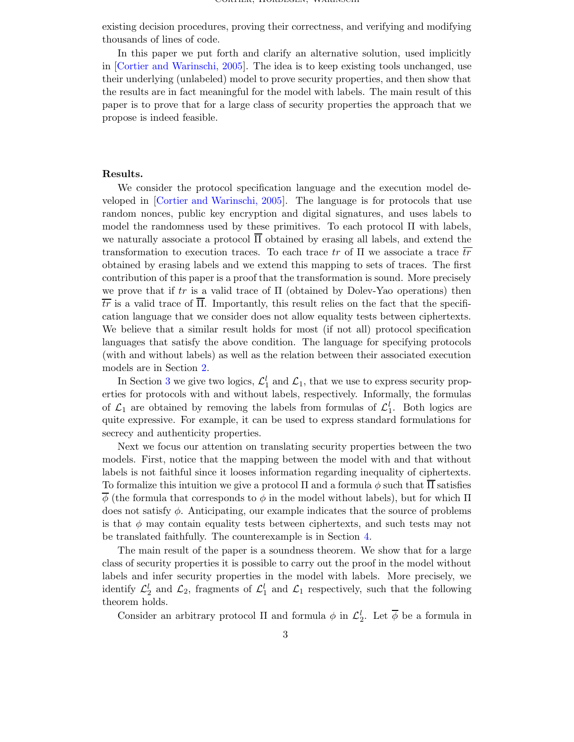existing decision procedures, proving their correctness, and verifying and modifying thousands of lines of code.

In this paper we put forth and clarify an alternative solution, used implicitly in [Cortier and [Warinschi,](#page-13-0) 2005]. The idea is to keep existing tools unchanged, use their underlying (unlabeled) model to prove security properties, and then show that the results are in fact meaningful for the model with labels. The main result of this paper is to prove that for a large class of security properties the approach that we propose is indeed feasible.

#### Results.

We consider the protocol specification language and the execution model developed in [Cortier and [Warinschi,](#page-13-0) 2005]. The language is for protocols that use random nonces, public key encryption and digital signatures, and uses labels to model the randomness used by these primitives. To each protocol Π with labels, we naturally associate a protocol  $\overline{\Pi}$  obtained by erasing all labels, and extend the transformation to execution traces. To each trace tr of  $\Pi$  we associate a trace  $\overline{tr}$ obtained by erasing labels and we extend this mapping to sets of traces. The first contribution of this paper is a proof that the transformation is sound. More precisely we prove that if tr is a valid trace of  $\Pi$  (obtained by Dolev-Yao operations) then  $\overline{tr}$  is a valid trace of  $\overline{\Pi}$ . Importantly, this result relies on the fact that the specification language that we consider does not allow equality tests between ciphertexts. We believe that a similar result holds for most (if not all) protocol specification languages that satisfy the above condition. The language for specifying protocols (with and without labels) as well as the relation between their associated execution models are in Section [2.](#page-3-0)

In Section [3](#page-8-0) we give two logics,  $\mathcal{L}_1^l$  and  $\mathcal{L}_1$ , that we use to express security properties for protocols with and without labels, respectively. Informally, the formulas of  $\mathcal{L}_1$  are obtained by removing the labels from formulas of  $\mathcal{L}_1^l$ . Both logics are quite expressive. For example, it can be used to express standard formulations for secrecy and authenticity properties.

Next we focus our attention on translating security properties between the two models. First, notice that the mapping between the model with and that without labels is not faithful since it looses information regarding inequality of ciphertexts. To formalize this intuition we give a protocol  $\Pi$  and a formula  $\phi$  such that  $\Pi$  satisfies  $\overline{\phi}$  (the formula that corresponds to  $\phi$  in the model without labels), but for which  $\Pi$ does not satisfy  $\phi$ . Anticipating, our example indicates that the source of problems is that  $\phi$  may contain equality tests between ciphertexts, and such tests may not be translated faithfully. The counterexample is in Section [4.](#page-10-0)

The main result of the paper is a soundness theorem. We show that for a large class of security properties it is possible to carry out the proof in the model without labels and infer security properties in the model with labels. More precisely, we identify  $\mathcal{L}_2^l$  and  $\mathcal{L}_2$ , fragments of  $\mathcal{L}_1^l$  and  $\mathcal{L}_1$  respectively, such that the following theorem holds.

Consider an arbitrary protocol  $\Pi$  and formula  $\phi$  in  $\mathcal{L}_2^l$ . Let  $\overline{\phi}$  be a formula in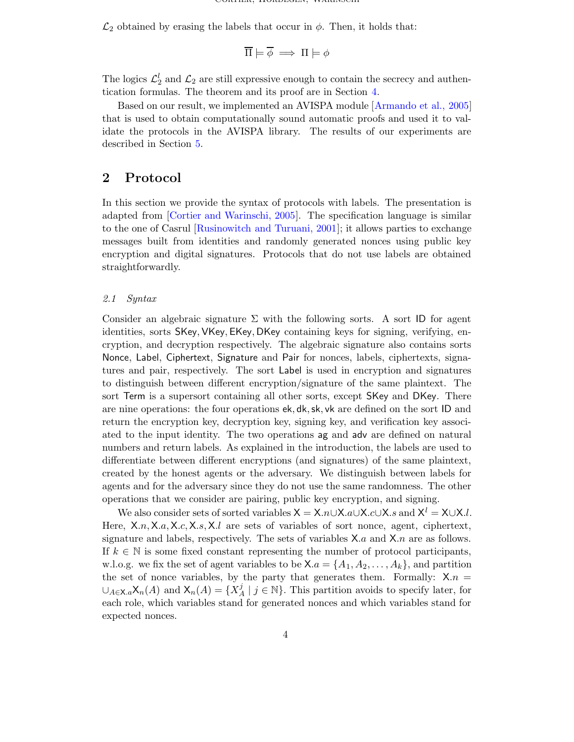$\mathcal{L}_2$  obtained by erasing the labels that occur in  $\phi$ . Then, it holds that:

$$
\overline{\Pi} \models \overline{\phi} \implies \Pi \models \phi
$$

The logics  $\mathcal{L}_2^l$  and  $\mathcal{L}_2$  are still expressive enough to contain the secrecy and authentication formulas. The theorem and its proof are in Section [4.](#page-10-0)

Based on our result, we implemented an AVISPA module [\[Armando](#page-13-6) et al., 2005] that is used to obtain computationally sound automatic proofs and used it to validate the protocols in the AVISPA library. The results of our experiments are described in Section [5.](#page-12-0)

# <span id="page-3-0"></span>2 Protocol

In this section we provide the syntax of protocols with labels. The presentation is adapted from [Cortier and [Warinschi,](#page-13-0) 2005]. The specification language is similar to the one of Casrul [\[Rusinowitch](#page-14-3) and Turuani, 2001]; it allows parties to exchange messages built from identities and randomly generated nonces using public key encryption and digital signatures. Protocols that do not use labels are obtained straightforwardly.

### 2.1 Syntax

Consider an algebraic signature  $\Sigma$  with the following sorts. A sort ID for agent identities, sorts SKey,VKey, EKey, DKey containing keys for signing, verifying, encryption, and decryption respectively. The algebraic signature also contains sorts Nonce, Label, Ciphertext, Signature and Pair for nonces, labels, ciphertexts, signatures and pair, respectively. The sort Label is used in encryption and signatures to distinguish between different encryption/signature of the same plaintext. The sort Term is a supersort containing all other sorts, except SKey and DKey. There are nine operations: the four operations ek, dk, sk, vk are defined on the sort ID and return the encryption key, decryption key, signing key, and verification key associated to the input identity. The two operations ag and adv are defined on natural numbers and return labels. As explained in the introduction, the labels are used to differentiate between different encryptions (and signatures) of the same plaintext, created by the honest agents or the adversary. We distinguish between labels for agents and for the adversary since they do not use the same randomness. The other operations that we consider are pairing, public key encryption, and signing.

We also consider sets of sorted variables  $X = X.n \cup X.a \cup X.c \cup X.s$  and  $X^l = X \cup X.l$ . Here,  $X.n, X.a, X.c, X.s, X.l$  are sets of variables of sort nonce, agent, ciphertext, signature and labels, respectively. The sets of variables  $X.a$  and  $X.n$  are as follows. If  $k \in \mathbb{N}$  is some fixed constant representing the number of protocol participants, w.l.o.g. we fix the set of agent variables to be  $X.a = \{A_1, A_2, \ldots, A_k\}$ , and partition the set of nonce variables, by the party that generates them. Formally:  $X.n =$  $\cup_{A\in\mathsf{X}.a}\mathsf{X}_n(A)$  and  $\mathsf{X}_n(A)=\{X_A^j\}$  $\{j \in \mathbb{N}\}\$ . This partition avoids to specify later, for each role, which variables stand for generated nonces and which variables stand for expected nonces.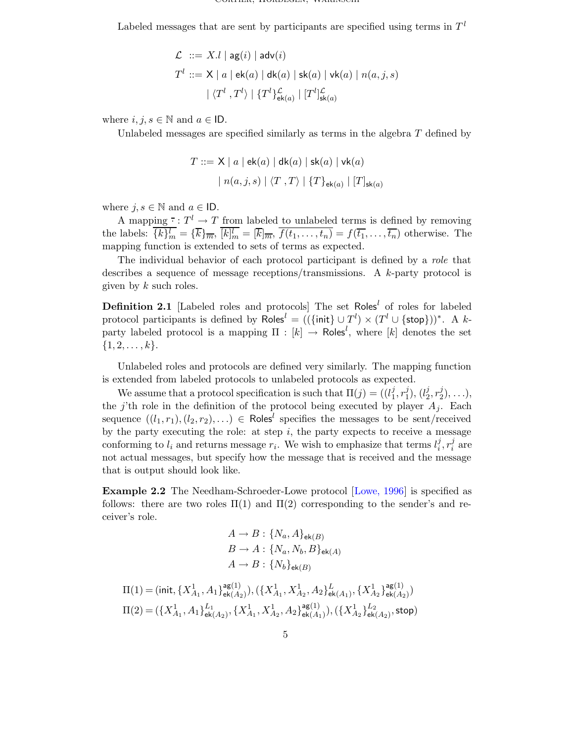Labeled messages that are sent by participants are specified using terms in  $T<sup>l</sup>$ 

$$
\begin{aligned} \mathcal{L} &::= X.l \mid \mathsf{ag}(i) \mid \mathsf{adv}(i) \\ T^l &::= \mathsf{X} \mid a \mid \mathsf{ek}(a) \mid \mathsf{dk}(a) \mid \mathsf{sk}(a) \mid \mathsf{vk}(a) \mid n(a,j,s) \\ & \mid \langle T^l \,, T^l \rangle \mid \{T^l\}_{\mathsf{ek}(a)}^{\mathcal{L}} \mid [T^l]_{\mathsf{sk}(a)}^{\mathcal{L}} \end{aligned}
$$

where  $i, j, s \in \mathbb{N}$  and  $a \in \mathsf{ID}$ .

Unlabeled messages are specified similarly as terms in the algebra  $T$  defined by

$$
T ::= \mathsf{X} \mid a \mid \mathsf{ek}(a) \mid \mathsf{dk}(a) \mid \mathsf{sk}(a) \mid \mathsf{vk}(a)
$$

$$
\mid n(a,j,s) \mid \langle T \rangle, T \rangle \mid \{T\}_{\mathsf{ek}(a)} \mid [T]_{\mathsf{sk}(a)}
$$

where  $j, s \in \mathbb{N}$  and  $a \in \mathsf{ID}$ .

A mapping  $\cdot : T^l \to T$  from labeled to unlabeled terms is defined by removing the labels:  $\{k\}_m^l = \{\overline{k}\}_{\overline{m}}$ ,  $[k]_m^l = [\overline{k}]_{\overline{m}}$ ,  $\overline{f(t_1,\ldots,t_n)} = f(\overline{t_1},\ldots,\overline{t_n})$  otherwise. The mapping function is extended to sets of terms as expected.

The individual behavior of each protocol participant is defined by a role that describes a sequence of message receptions/transmissions. A  $k$ -party protocol is given by  $k$  such roles.

**Definition 2.1** [Labeled roles and protocols] The set Roles<sup>l</sup> of roles for labeled protocol participants is defined by  $\mathsf{Roles}^l = ((\{\mathsf{init}\} \cup T^l) \times (T^l \cup \{\mathsf{stop}\}))^*$ . A kparty labeled protocol is a mapping  $\Pi : [k] \to \textsf{Roles}^l$ , where  $[k]$  denotes the set  $\{1, 2, \ldots, k\}.$ 

Unlabeled roles and protocols are defined very similarly. The mapping function is extended from labeled protocols to unlabeled protocols as expected.

We assume that a protocol specification is such that  $\Pi(j) = (l_1^j)$  $\frac{j}{1}, r_1^j$  $j_1^j$ ),  $(l_2^j)$  $\frac{j}{2}, r_2^j$  $\binom{J}{2}, \ldots$ , the j'th role in the definition of the protocol being executed by player  $A_i$ . Each sequence  $((l_1, r_1), (l_2, r_2), \ldots) \in \text{Roles}^l$  specifies the messages to be sent/received by the party executing the role: at step  $i$ , the party expects to receive a message conforming to  $l_i$  and returns message  $r_i$ . We wish to emphasize that terms  $l_i^j$  $\frac{j}{i}, r_i^j$  $\frac{J}{i}$  are not actual messages, but specify how the message that is received and the message that is output should look like.

<span id="page-4-0"></span>Example 2.2 The Needham-Schroeder-Lowe protocol [\[Lowe,](#page-13-7) 1996] is specified as follows: there are two roles  $\Pi(1)$  and  $\Pi(2)$  corresponding to the sender's and receiver's role.

$$
A \rightarrow B: \{N_a, A\}_{\mathsf{ek}(B)}
$$
  

$$
B \rightarrow A: \{N_a, N_b, B\}_{\mathsf{ek}(A)}
$$
  

$$
A \rightarrow B: \{N_b\}_{\mathsf{ek}(B)}
$$

$$
\Pi(1) = (\text{init}, \{X_{A_1}^1, A_1\}_{\mathsf{ek}(A_2)}^{\mathsf{ag}(1)}), (\{X_{A_1}^1, X_{A_2}^1, A_2\}_{\mathsf{ek}(A_1)}^L, \{X_{A_2}^1\}_{\mathsf{ek}(A_2)}^{\mathsf{ag}(1)})
$$

$$
\Pi(2) = (\{X_{A_1}^1, A_1\}_{\mathsf{ek}(A_2)}^{L_1}, \{X_{A_1}^1, X_{A_2}^1, A_2\}_{\mathsf{ek}(A_1)}^{\mathsf{ag}(1)}), (\{X_{A_2}^1\}_{\mathsf{ek}(A_2)}^{L_2}, \mathsf{stop})
$$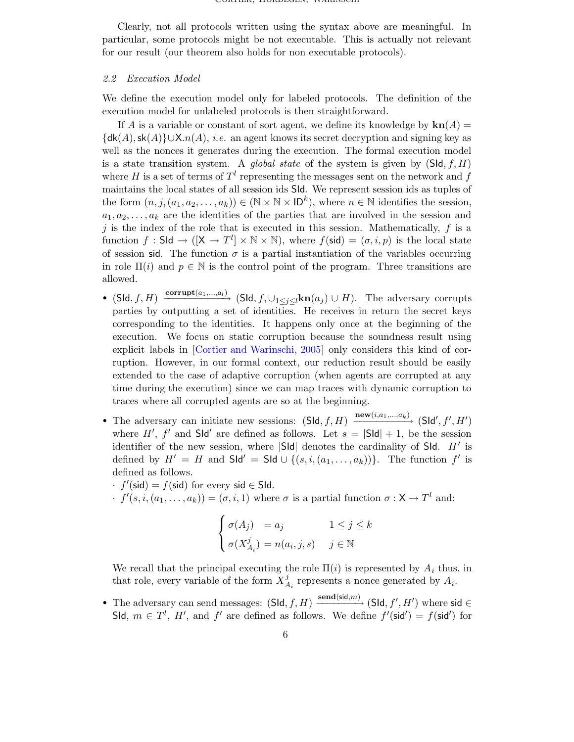Clearly, not all protocols written using the syntax above are meaningful. In particular, some protocols might be not executable. This is actually not relevant for our result (our theorem also holds for non executable protocols).

#### 2.2 Execution Model

We define the execution model only for labeled protocols. The definition of the execution model for unlabeled protocols is then straightforward.

If A is a variable or constant of sort agent, we define its knowledge by  $\mathbf{kn}(A) =$  $\{\mathsf{dk}(A),\mathsf{sk}(A)\}\cup\mathsf{X}.n(A),$  *i.e.* an agent knows its secret decryption and signing key as well as the nonces it generates during the execution. The formal execution model is a state transition system. A *global state* of the system is given by  $(SId, f, H)$ where H is a set of terms of  $T<sup>l</sup>$  representing the messages sent on the network and f maintains the local states of all session ids SId. We represent session ids as tuples of the form  $(n, j, (a_1, a_2, \ldots, a_k)) \in (\mathbb{N} \times \mathbb{N} \times \mathbb{D}^k)$ , where  $n \in \mathbb{N}$  identifies the session,  $a_1, a_2, \ldots, a_k$  are the identities of the parties that are involved in the session and j is the index of the role that is executed in this session. Mathematically,  $f$  is a function  $f : \mathsf{S} \mathsf{Id} \to ([\mathsf{X} \to T^l] \times \mathbb{N} \times \mathbb{N})$ , where  $f(\mathsf{sid}) = (\sigma, i, p)$  is the local state of session sid. The function  $\sigma$  is a partial instantiation of the variables occurring in role  $\Pi(i)$  and  $p \in \mathbb{N}$  is the control point of the program. Three transitions are allowed.

- (Sld, f, H)  $\xrightarrow{\text{corrupt}(a_1,...,a_l)}$  (Sld, f,  $\cup_{1\leq j\leq l}$ kn $(a_j) \cup H$ ). The adversary corrupts parties by outputting a set of identities. He receives in return the secret keys corresponding to the identities. It happens only once at the beginning of the execution. We focus on static corruption because the soundness result using explicit labels in [Cortier and [Warinschi,](#page-13-0) 2005] only considers this kind of corruption. However, in our formal context, our reduction result should be easily extended to the case of adaptive corruption (when agents are corrupted at any time during the execution) since we can map traces with dynamic corruption to traces where all corrupted agents are so at the beginning.
- The adversary can initiate new sessions:  $(\text{Sld}, f, H) \xrightarrow{\text{new}(i, a_1, ..., a_k)} (\text{Sld}', f', H')$ where H', f' and SId' are defined as follows. Let  $s = |SId| + 1$ , be the session identifier of the new session, where  $|\textsf{Sld}|$  denotes the cardinality of SId.  $H'$  is defined by  $H' = H$  and  $S \mathsf{Id}' = S \mathsf{Id} \cup \{(s, i, (a_1, \ldots, a_k))\}.$  The function  $f'$  is defined as follows.
	- $\cdot$   $f'(\text{sid}) = f(\text{sid})$  for every sid  $\in$  Sld.
	- $(f'(s, i, (a_1, \ldots, a_k)) = (\sigma, i, 1)$  where  $\sigma$  is a partial function  $\sigma : X \to T^l$  and:

$$
\begin{cases}\n\sigma(A_j) = a_j & 1 \le j \le k \\
\sigma(X_{A_i}^j) = n(a_i, j, s) & j \in \mathbb{N}\n\end{cases}
$$

We recall that the principal executing the role  $\Pi(i)$  is represented by  $A_i$  thus, in that role, every variable of the form  $X^j_{\neq}$  $A_i$  represents a nonce generated by  $A_i$ .

• The adversary can send messages:  $(\mathsf{Sld}, f, H) \xrightarrow{\mathsf{send}(\mathsf{sid}, m)} (\mathsf{Sld}, f', H')$  where sid  $\in$ SId,  $m \in T^l$ , H', and f' are defined as follows. We define  $f'(\mathsf{sid}') = f(\mathsf{sid}')$  for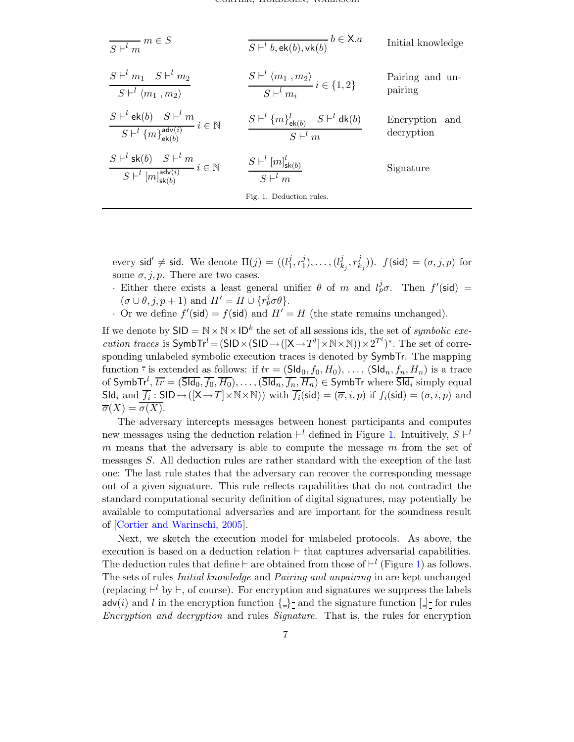| $\frac{1}{S+^l m} m \in S$                                                                                                | $\overline{S\vdash^{l} b, \textsf{ek}(b), \textsf{vk}(b)}$ $b \in X.a$                    | Initial knowledge            |
|---------------------------------------------------------------------------------------------------------------------------|-------------------------------------------------------------------------------------------|------------------------------|
| $S\vdash^l m_1$ $S\vdash^l m_2$<br>$S \vdash^{l} \langle m_1 \; , m_2 \rangle$                                            | $\frac{S\vdash^{l} \langle m_1, m_2 \rangle}{S\vdash^{l} m_i} i \in \{1, 2\}$             | Pairing and un-<br>pairing   |
| $\frac{S\vdash^{l}\mathsf{ek}(b)\quad S\vdash^{l}m}{S\vdash^{l}\{m\}_{\mathsf{ek}(b)}^{\mathsf{adv}(i)}}\,i\in\mathbb{N}$ | $S \vdash^{l} \{m\}_{\mathsf{ek}(b)}^{l} S \vdash^{l} \mathsf{dk}(b)$<br>$S \vdash^{l} m$ | Encryption and<br>decryption |
| $\frac{S\vdash^{l} \mathsf{sk}(b)\quad S\vdash^{l} m}{S\vdash^{l}[m]_{\mathsf{sk}(b)}^{\mathsf{adv}(i)}}\,i\in\mathbb{N}$ | $\frac{S\vdash^{l}[m]_{\mathsf{sk}(b)}^{l}}{S\vdash^{l} m}$                               | Signature                    |
|                                                                                                                           | Fig. 1. Deduction rules.                                                                  |                              |

<span id="page-6-0"></span>every sid'  $\neq$  sid. We denote  $\Pi(j) = ((l_1^j)$  $\frac{j}{1}, r_1^j$  $j_1^j, \ldots, (l_k^j)$  $_{k_j}^j,r_k^j$  $f(\textsf{sid}) = (\sigma, j, p) \text{ for }$ some  $\sigma$ , j, p. There are two cases.

- · Either there exists a least general unifier  $\theta$  of m and  $l_p^j\sigma$ . Then  $f'(\text{sid})$  =  $(\sigma \cup \theta, j, p+1)$  and  $H' = H \cup \{r_p^j \sigma \theta\}.$
- Or we define  $f'(\text{sid}) = f(\text{sid})$  and  $H' = H$  (the state remains unchanged).

If we denote by  $\mathsf{SID} = \mathbb{N} \times \mathbb{N} \times \mathsf{ID}^k$  the set of all sessions ids, the set of *symbolic exe*cution traces is  $\mathsf{SymbTr}^l = (\mathsf{SID} \times (\mathsf{SID} \rightarrow ([\mathsf{X} \rightarrow T^l] \times \mathbb{N} \times \mathbb{N})) \times 2^{T^l})^*$ . The set of corresponding unlabeled symbolic execution traces is denoted by SymbTr. The mapping function  $\overline{\cdot}$  is extended as follows: if  $tr = (SId_0, f_0, H_0), \ldots, (SId_n, f_n, H_n)$  is a trace of  $\mathsf{SymbTr}^l, \, \overline{tr} = (\overline{\mathsf{SId}_0}, \overline{f_0}, \overline{H_0}), \ldots, (\overline{\mathsf{SId}_n}, \overline{f_n}, \overline{H_n}) \in \mathsf{SymbTr}$  where  $\overline{\mathsf{SId}_i}$  simply equal  $\mathsf{Sld}_i$  and  $\overline{f_i} : \mathsf{SID} \to ([\mathsf{X} \to T] \times \mathbb{N} \times \mathbb{N}))$  with  $\overline{f_i}(\mathsf{sid}) = (\overline{\sigma}, i, p)$  if  $f_i(\mathsf{sid}) = (\sigma, i, p)$  and  $\overline{\sigma}(X) = \sigma(X).$ 

The adversary intercepts messages between honest participants and computes new messages using the deduction relation  $\vdash^{l}$  defined in Figure [1.](#page-6-0) Intuitively,  $S \vdash^{l}$  $m$  means that the adversary is able to compute the message  $m$  from the set of messages S. All deduction rules are rather standard with the exception of the last one: The last rule states that the adversary can recover the corresponding message out of a given signature. This rule reflects capabilities that do not contradict the standard computational security definition of digital signatures, may potentially be available to computational adversaries and are important for the soundness result of [Cortier and [Warinschi,](#page-13-0) 2005].

Next, we sketch the execution model for unlabeled protocols. As above, the execution is based on a deduction relation  $\vdash$  that captures adversarial capabilities. The deduction rules that define  $\vdash$  are obtained from those of  $\vdash^{l}$  (Figure [1\)](#page-6-0) as follows. The sets of rules Initial knowledge and Pairing and unpairing in are kept unchanged (replacing  $\vdash^l$  by  $\vdash$ , of course). For encryption and signatures we suppress the labels  $\mathsf{adv}(i)$  and l in the encryption function  $\{\_\}$  and the signature function  $[\,\]$  for rules Encryption and decryption and rules Signature. That is, the rules for encryption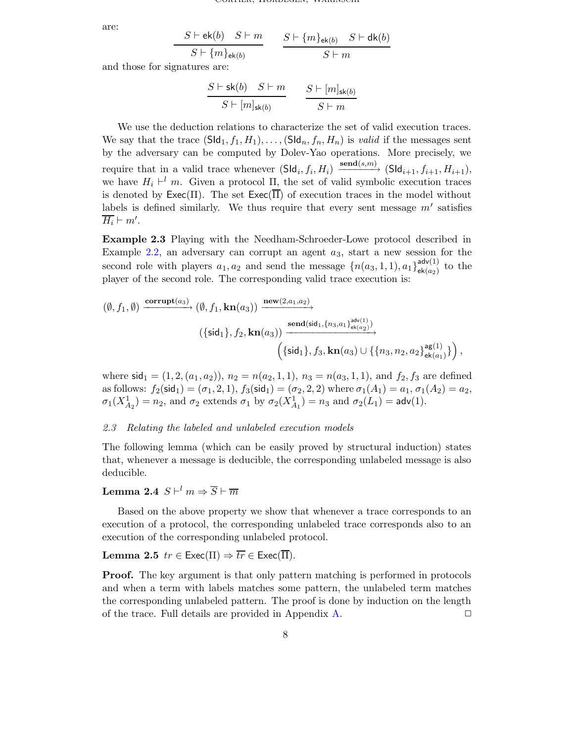are:

$$
\frac{S \vdash \mathsf{ek}(b) \quad S \vdash m}{S \vdash \{m\}_{\mathsf{ek}(b)}} \qquad \frac{S \vdash \{m\}_{\mathsf{ek}(b)} \quad S \vdash \mathsf{dk}(b)}{S \vdash m}
$$

and those for signatures are:

$$
\frac{S \vdash \mathsf{sk}(b) \quad S \vdash m}{S \vdash [m]_{\mathsf{sk}(b)}} \qquad \frac{S \vdash [m]_{\mathsf{sk}(b)}}{S \vdash m}
$$

We use the deduction relations to characterize the set of valid execution traces. We say that the trace  $(SId_1, f_1, H_1), \ldots$ ,  $(SId_n, f_n, H_n)$  is valid if the messages sent by the adversary can be computed by Dolev-Yao operations. More precisely, we require that in a valid trace whenever  $(\text{Sld}_i, f_i, H_i) \xrightarrow{\text{send}(s,m)} (\text{Sld}_{i+1}, f_{i+1}, H_{i+1}),$ we have  $H_i \vdash^l m$ . Given a protocol  $\Pi$ , the set of valid symbolic execution traces is denoted by  $\text{Exec}(\Pi)$ . The set  $\text{Exec}(\overline{\Pi})$  of execution traces in the model without labels is defined similarly. We thus require that every sent message  $m'$  satisfies  $\overline{H_i} \vdash m'.$ 

Example 2.3 Playing with the Needham-Schroeder-Lowe protocol described in Example [2.2,](#page-4-0) an adversary can corrupt an agent  $a_3$ , start a new session for the second role with players  $a_1, a_2$  and send the message  $\{n(a_3, 1, 1), a_1\}^{adv(1)}_{ek(a_3)}$  $\frac{d \mathsf{d} \mathsf{d} \mathsf{d} \mathsf{d} \mathsf{d} \mathsf{d} \mathsf{d} \mathsf{d} \mathsf{d} \mathsf{d}}{e \mathsf{k}(a_2)}$  to the player of the second role. The corresponding valid trace execution is:

$$
(\emptyset, f_1, \emptyset) \xrightarrow{\text{corrupt}(a_3)} (\emptyset, f_1, \text{kn}(a_3)) \xrightarrow{\text{new}(2, a_1, a_2)} \text{send}(\text{sid}_1, \{n_3, a_1\}_{\text{ek}(a_2)}^{\text{adv}(1)})
$$

$$
(\{\text{sid}_1\}, f_2, \text{kn}(a_3)) \xrightarrow{\text{send}(\text{sid}_1, \{n_3, a_1\}_{\text{ek}(a_2)}^{\text{adv}(1)})} (\{\text{sid}_1\}, f_3, \text{kn}(a_3) \cup \{\{n_3, n_2, a_2\}_{\text{ek}(a_1)}^{\text{ag}(1)}\}),
$$

where  $\text{sid}_1 = (1, 2, (a_1, a_2)), n_2 = n(a_2, 1, 1), n_3 = n(a_3, 1, 1), \text{ and } f_2, f_3$  are defined as follows:  $f_2(\text{sid}_1) = (\sigma_1, 2, 1), f_3(\text{sid}_1) = (\sigma_2, 2, 2)$  where  $\sigma_1(A_1) = a_1, \sigma_1(A_2) = a_2$ ,  $\sigma_1(X_{A_2}^1) = n_2$ , and  $\sigma_2$  extends  $\sigma_1$  by  $\sigma_2(X_{A_1}^1) = n_3$  and  $\sigma_2(L_1) = \mathsf{adv}(1)$ .

#### 2.3 Relating the labeled and unlabeled execution models

The following lemma (which can be easily proved by structural induction) states that, whenever a message is deducible, the corresponding unlabeled message is also deducible.

### <span id="page-7-1"></span>Lemma 2.4  $\,S \vdash^{l} m \Rightarrow \overline{S} \vdash \overline{m}$

Based on the above property we show that whenever a trace corresponds to an execution of a protocol, the corresponding unlabeled trace corresponds also to an execution of the corresponding unlabeled protocol.

#### <span id="page-7-0"></span>**Lemma 2.5**  $tr \in \text{Exec}(\Pi) \Rightarrow \overline{tr} \in \text{Exec}(\overline{\Pi}).$

Proof. The key argument is that only pattern matching is performed in protocols and when a term with labels matches some pattern, the unlabeled term matches the corresponding unlabeled pattern. The proof is done by induction on the length of the trace. Full details are provided in Appendix [A.](#page-15-0)  $\Box$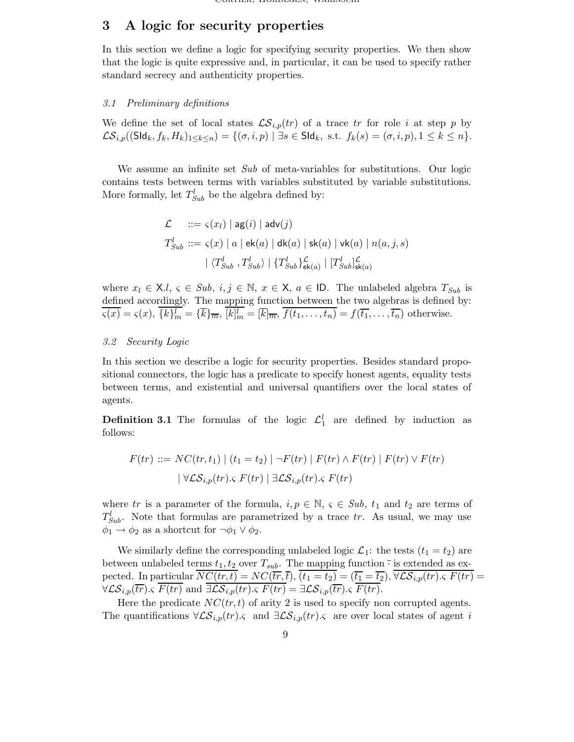# <span id="page-8-0"></span>3 A logic for security properties

In this section we define a logic for specifying security properties. We then show that the logic is quite expressive and, in particular, it can be used to specify rather standard secrecy and authenticity properties.

### 3.1 Preliminary definitions

We define the set of local states  $\mathcal{LS}_{i,p}(tr)$  of a trace tr for role i at step p by  $\mathcal{LS}_{i,p}((\mathsf{SId}_k, f_k, H_k)_{1\leq k\leq n}) = \{(\sigma,i,p) \mid \exists s \in \mathsf{SId}_k, \text{ s.t. } f_k(s) = (\sigma,i,p), 1 \leq k \leq n\}.$ 

We assume an infinite set Sub of meta-variables for substitutions. Our logic contains tests between terms with variables substituted by variable substitutions. More formally, let  $T_{Sub}^l$  be the algebra defined by:

$$
\mathcal{L} \quad ::= \varsigma(x_l) \mid \mathsf{ag}(i) \mid \mathsf{adv}(j)
$$
\n
$$
T_{Sub}^l ::= \varsigma(x) \mid a \mid \mathsf{ek}(a) \mid \mathsf{dk}(a) \mid \mathsf{sk}(a) \mid \mathsf{vk}(a) \mid n(a, j, s)
$$
\n
$$
\mid \langle T_{Sub}^l, T_{Sub}^l \rangle \mid \{T_{Sub}^l\}_{\mathsf{ek}(a)}^{\mathcal{L}} \mid [T_{Sub}^l]_{\mathsf{sk}(a)}^{\mathcal{L}}
$$

where  $x_l \in \mathsf{X}.l, \varsigma \in Sub, i, j \in \mathbb{N}, x \in \mathsf{X}, a \in \mathsf{ID}.$  The unlabeled algebra  $T_{Sub}$  is defined accordingly. The mapping function between the two algebras is defined by:  $\varsigma(x) = \varsigma(x), \, \{k\}_{m}^{l} = \{\overline{k}\}_{\overline{m}}, \, [k]_{m}^{l} = [\overline{k}]_{\overline{m}}, \, f(t_1, \ldots, t_n) = f(\overline{t_1}, \ldots, \overline{t_n})$  otherwise.

### 3.2 Security Logic

In this section we describe a logic for security properties. Besides standard propositional connectors, the logic has a predicate to specify honest agents, equality tests between terms, and existential and universal quantifiers over the local states of agents.

**Definition 3.1** The formulas of the logic  $\mathcal{L}_1^l$  are defined by induction as follows:

$$
F(tr) ::= NC(tr, t_1) | (t_1 = t_2) | \neg F(tr) | F(tr) \wedge F(tr) | F(tr) \vee F(tr)
$$
  

$$
| \forall \mathcal{LS}_{i,p}(tr). \varsigma F(tr) | \exists \mathcal{LS}_{i,p}(tr). \varsigma F(tr)
$$

where tr is a parameter of the formula,  $i, p \in \mathbb{N}, \varsigma \in Sub, t_1$  and  $t_2$  are terms of  $T_{Sub}^l$ . Note that formulas are parametrized by a trace tr. As usual, we may use  $\phi_1 \rightarrow \phi_2$  as a shortcut for  $\neg \phi_1 \lor \phi_2$ .

We similarly define the corresponding unlabeled logic  $\mathcal{L}_1$ : the tests  $(t_1 = t_2)$  are between unlabeled terms  $t_1, t_2$  over  $T_{sub}$ . The mapping function  $\overline{\cdot}$  is extended as expected. In particular  $\overline{NC(tr,t)} = NC(\overline{tr},\overline{t}), \overline{(t_1 = t_2)} = (\overline{t_1} = \overline{t_2}), \overline{\forall \mathcal{LS}_{i,p}(tr), \varsigma F(tr)}$  $\forall \mathcal{LS}_{i,p}(\overline{tr}) \in F(\overline{tr})$  and  $\overline{\exists \mathcal{LS}_{i,p}(tr) \in F(tr)} = \exists \mathcal{LS}_{i,p}(\overline{tr}) \in \overline{F(tr)}$ .

Here the predicate  $NC(tr, t)$  of arity 2 is used to specify non corrupted agents. The quantifications  $\forall \mathcal{LS}_{i,p}(tr)$ . and  $\exists \mathcal{LS}_{i,p}(tr)$ . are over local states of agent i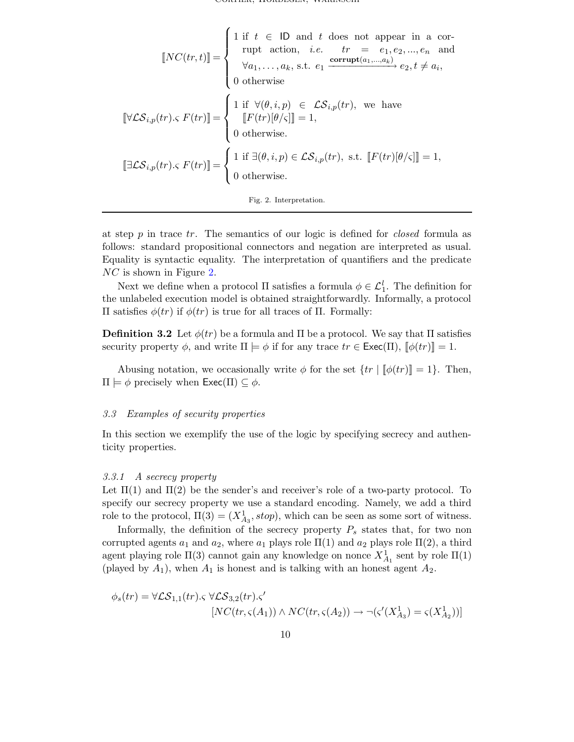Cortier, Hordegen, warinschi

$$
\llbracket NC(tr, t) \rrbracket = \begin{cases} 1 \text{ if } t \in \text{ ID and } t \text{ does not appear in a cor-rupt action, } i.e. \qquad tr = e_1, e_2, ..., e_n \text{ and } \\ \forall a_1, ..., a_k, \text{ s.t. } e_1 \xrightarrow{\text{corrupt}(a_1, ..., a_k)} e_2, t \neq a_i, \\ 0 \text{ otherwise.} \end{cases}
$$
  

$$
\llbracket \forall \mathcal{LS}_{i,p}(tr). \mathcal{F}(tr) \rrbracket = \begin{cases} 1 \text{ if } \forall (\theta, i, p) \in \mathcal{LS}_{i,p}(tr), \text{ we have} \\ \llbracket F(tr)[\theta/\varsigma] \rrbracket = 1, \\ 0 \text{ otherwise.} \end{cases}
$$
  

$$
\llbracket \exists \mathcal{LS}_{i,p}(tr). \mathcal{F}(tr) \rrbracket = \begin{cases} 1 \text{ if } \exists (\theta, i, p) \in \mathcal{LS}_{i,p}(tr), \text{ s.t. } \llbracket F(tr)[\theta/\varsigma] \rrbracket = 1, \\ 0 \text{ otherwise.} \end{cases}
$$

<span id="page-9-0"></span>

at step  $p$  in trace  $tr$ . The semantics of our logic is defined for *closed* formula as follows: standard propositional connectors and negation are interpreted as usual. Equality is syntactic equality. The interpretation of quantifiers and the predicate NC is shown in Figure [2.](#page-9-0)

Next we define when a protocol  $\Pi$  satisfies a formula  $\phi \in \mathcal{L}_1^l$ . The definition for the unlabeled execution model is obtained straightforwardly. Informally, a protocol Π satisfies φ(tr) if φ(tr) is true for all traces of Π. Formally:

**Definition 3.2** Let  $\phi(tr)$  be a formula and  $\Pi$  be a protocol. We say that  $\Pi$  satisfies security property  $\phi$ , and write  $\Pi \models \phi$  if for any trace  $tr \in \text{Exec}(\Pi)$ ,  $[\![\phi(tr)]\!] = 1$ .

Abusing notation, we occasionally write  $\phi$  for the set  $\{tr \mid \phi(tr)\}=1\}$ . Then,  $\Pi \models \phi$  precisely when  $\mathsf{Exec}(\Pi) \subseteq \phi$ .

#### 3.3 Examples of security properties

In this section we exemplify the use of the logic by specifying secrecy and authenticity properties.

#### 3.3.1 A secrecy property

Let  $\Pi(1)$  and  $\Pi(2)$  be the sender's and receiver's role of a two-party protocol. To specify our secrecy property we use a standard encoding. Namely, we add a third role to the protocol,  $\Pi(3) = (X_{A_3}^1, stop)$ , which can be seen as some sort of witness.

Informally, the definition of the secrecy property  $P_s$  states that, for two non corrupted agents  $a_1$  and  $a_2$ , where  $a_1$  plays role  $\Pi(1)$  and  $a_2$  plays role  $\Pi(2)$ , a third agent playing role  $\Pi(3)$  cannot gain any knowledge on nonce  $X_{A_1}^1$  sent by role  $\Pi(1)$ (played by  $A_1$ ), when  $A_1$  is honest and is talking with an honest agent  $A_2$ .

$$
\phi_s(tr) = \forall \mathcal{LS}_{1,1}(tr). \varsigma \; \forall \mathcal{LS}_{3,2}(tr). \varsigma'
$$

$$
[NC(tr, \varsigma(A_1)) \wedge NC(tr, \varsigma(A_2)) \rightarrow \neg(\varsigma'(X_{A_3}^1) = \varsigma(X_{A_2}^1))]
$$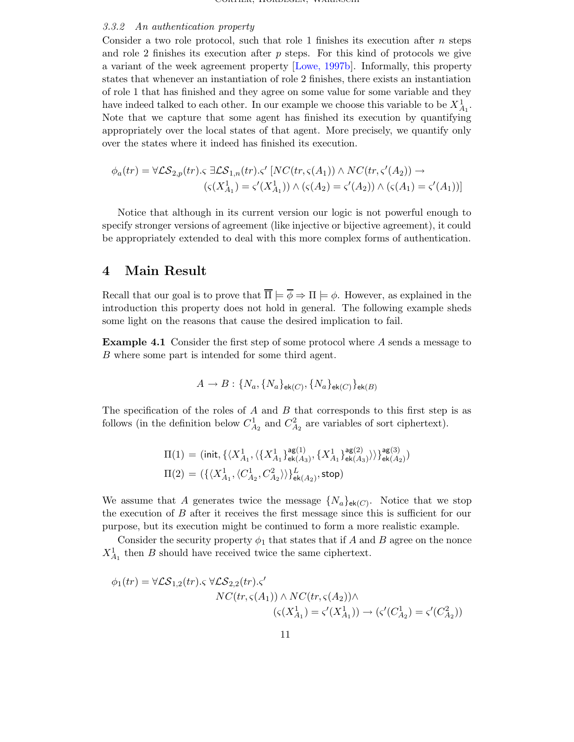#### 3.3.2 An authentication property

Consider a two role protocol, such that role 1 finishes its execution after  $n$  steps and role 2 finishes its execution after  $p$  steps. For this kind of protocols we give a variant of the week agreement property [Lowe, [1997b\]](#page-13-8). Informally, this property states that whenever an instantiation of role 2 finishes, there exists an instantiation of role 1 that has finished and they agree on some value for some variable and they have indeed talked to each other. In our example we choose this variable to be  $X_{A_1}^1$ . Note that we capture that some agent has finished its execution by quantifying appropriately over the local states of that agent. More precisely, we quantify only over the states where it indeed has finished its execution.

$$
\phi_a(tr) = \forall \mathcal{LS}_{2,p}(tr). \varsigma \exists \mathcal{LS}_{1,n}(tr). \varsigma' [NC(tr, \varsigma(A_1)) \wedge NC(tr, \varsigma'(A_2)) \rightarrow (\varsigma(X_{A_1}^1) = \varsigma'(X_{A_1}^1)) \wedge (\varsigma(A_2) = \varsigma'(A_2)) \wedge (\varsigma(A_1) = \varsigma'(A_1))]
$$

Notice that although in its current version our logic is not powerful enough to specify stronger versions of agreement (like injective or bijective agreement), it could be appropriately extended to deal with this more complex forms of authentication.

### <span id="page-10-0"></span>4 Main Result

Recall that our goal is to prove that  $\overline{\Pi} \models \overline{\phi} \Rightarrow \Pi \models \phi$ . However, as explained in the introduction this property does not hold in general. The following example sheds some light on the reasons that cause the desired implication to fail.

<span id="page-10-1"></span>Example 4.1 Consider the first step of some protocol where A sends a message to B where some part is intended for some third agent.

$$
A \rightarrow B: \{N_a, \{N_a\}_{\mathsf{ek}(C)}, \{N_a\}_{\mathsf{ek}(C)}\}_{\mathsf{ek}(B)}
$$

The specification of the roles of  $A$  and  $B$  that corresponds to this first step is as follows (in the definition below  $C_{A_2}^1$  and  $C_{A_2}^2$  are variables of sort ciphertext).

$$
\Pi(1) = (\text{init}, \{\langle X_{A_1}^1, \langle \{X_{A_1}^1\}_{\mathsf{ek}(A_3)}^{ \mathsf{ag}(1)}, \{X_{A_1}^1\}_{\mathsf{ek}(A_3)}^{ \mathsf{ag}(2)}\rangle\}\}_{\mathsf{ek}(A_2)}^{ \mathsf{ag}(3)})
$$

$$
\Pi(2) = (\{\langle X_{A_1}^1, \langle C_{A_2}^1, C_{A_2}^2 \rangle\}\}_{\mathsf{ek}(A_2)}^L, \mathsf{stop})
$$

We assume that A generates twice the message  $\{N_a\}_{\mathsf{ek}(C)}$ . Notice that we stop the execution of B after it receives the first message since this is sufficient for our purpose, but its execution might be continued to form a more realistic example.

Consider the security property  $\phi_1$  that states that if A and B agree on the nonce  $X_{A_1}^1$  then B should have received twice the same ciphertext.

$$
\phi_1(tr) = \forall \mathcal{LS}_{1,2}(tr). \forall \mathcal{LS}_{2,2}(tr). \langle
$$

$$
NC(tr, \varsigma(A_1)) \land NC(tr, \varsigma(A_2)) \land \langle \varsigma(X_{A_1}^1) = \varsigma'(X_{A_1}^1) \rangle \rightarrow (\varsigma'(C_{A_2}^1) = \varsigma'(C_{A_2}^2))
$$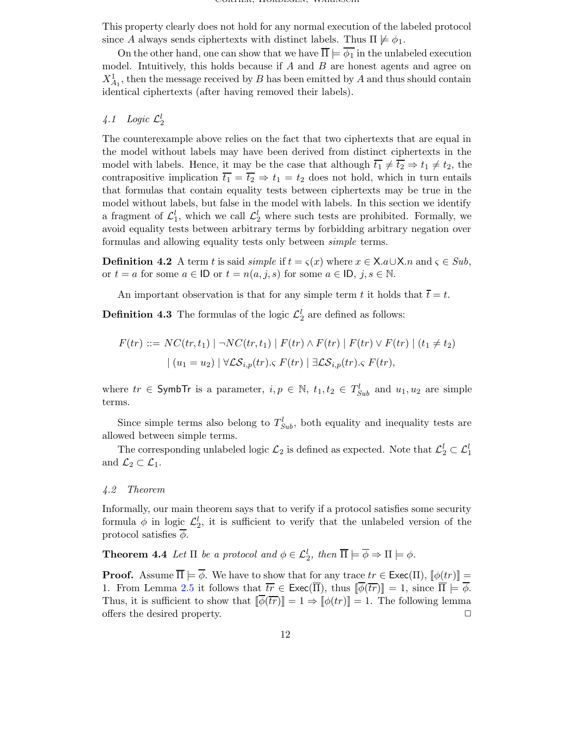This property clearly does not hold for any normal execution of the labeled protocol since A always sends ciphertexts with distinct labels. Thus  $\Pi \not\models \phi_1$ .

On the other hand, one can show that we have  $\overline{\Pi} \models \overline{\phi_1}$  in the unlabeled execution model. Intuitively, this holds because if  $A$  and  $B$  are honest agents and agree on  $X_{A_1}^1$ , then the message received by B has been emitted by A and thus should contain identical ciphertexts (after having removed their labels).

# 4.1 Logic  $\mathcal{L}_2^l$

The counterexample above relies on the fact that two ciphertexts that are equal in the model without labels may have been derived from distinct ciphertexts in the model with labels. Hence, it may be the case that although  $\overline{t_1} \neq \overline{t_2} \Rightarrow t_1 \neq t_2$ , the contrapositive implication  $\overline{t_1} = \overline{t_2} \Rightarrow t_1 = t_2$  does not hold, which in turn entails that formulas that contain equality tests between ciphertexts may be true in the model without labels, but false in the model with labels. In this section we identify a fragment of  $\mathcal{L}_1^l$ , which we call  $\mathcal{L}_2^l$  where such tests are prohibited. Formally, we avoid equality tests between arbitrary terms by forbidding arbitrary negation over formulas and allowing equality tests only between simple terms.

**Definition 4.2** A term t is said *simple* if  $t = \varsigma(x)$  where  $x \in \mathsf{X}.a \cup \mathsf{X}.n$  and  $\varsigma \in Sub$ , or  $t = a$  for some  $a \in \mathsf{ID}$  or  $t = n(a, j, s)$  for some  $a \in \mathsf{ID}, j, s \in \mathbb{N}$ .

An important observation is that for any simple term t it holds that  $\bar{t} = t$ .

**Definition 4.3** The formulas of the logic  $\mathcal{L}_2^l$  are defined as follows:

$$
F(tr) ::= NC(tr, t_1) | \neg NC(tr, t_1) | F(tr) \land F(tr) | F(tr) \lor F(tr) | (t_1 \neq t_2)
$$
  

$$
| (u_1 = u_2) | \forall \mathcal{LS}_{i,p}(tr). \subset F(tr) | \exists \mathcal{LS}_{i,p}(tr). \subset F(tr),
$$

where  $tr \in \mathsf{SymbolTr}$  is a parameter,  $i, p \in \mathbb{N}$ ,  $t_1, t_2 \in T_{Sub}^l$  and  $u_1, u_2$  are simple terms.

Since simple terms also belong to  $T_{Sub}^l$ , both equality and inequality tests are allowed between simple terms.

The corresponding unlabeled logic  $\mathcal{L}_2$  is defined as expected. Note that  $\mathcal{L}_2^l \subset \mathcal{L}_1^l$ and  $\mathcal{L}_2 \subset \mathcal{L}_1$ .

#### 4.2 Theorem

Informally, our main theorem says that to verify if a protocol satisfies some security formula  $\phi$  in logic  $\mathcal{L}_2^l$ , it is sufficient to verify that the unlabeled version of the protocol satisfies  $\overline{\phi}$ .

**Theorem 4.4** Let  $\Pi$  be a protocol and  $\phi \in \mathcal{L}_2^l$ , then  $\overline{\Pi} \models \overline{\phi} \Rightarrow \Pi \models \phi$ .

<span id="page-11-0"></span>**Proof.** Assume  $\overline{\Pi} \models \overline{\phi}$ . We have to show that for any trace  $tr \in \text{Exec}(\Pi)$ ,  $[\phi(tr)] =$ 1. From Lemma [2.5](#page-7-0) it follows that  $\overline{tr} \in \text{Exec}(\overline{\Pi})$ , thus  $\|\overline{\phi}(\overline{tr})\| = 1$ , since  $\overline{\Pi} \models \overline{\phi}$ . Thus, it is sufficient to show that  $\|\overline{\phi(\overline{tr})}\| = 1 \Rightarrow \|\phi(tr)\| = 1$ . The following lemma offers the desired property.  $\Box$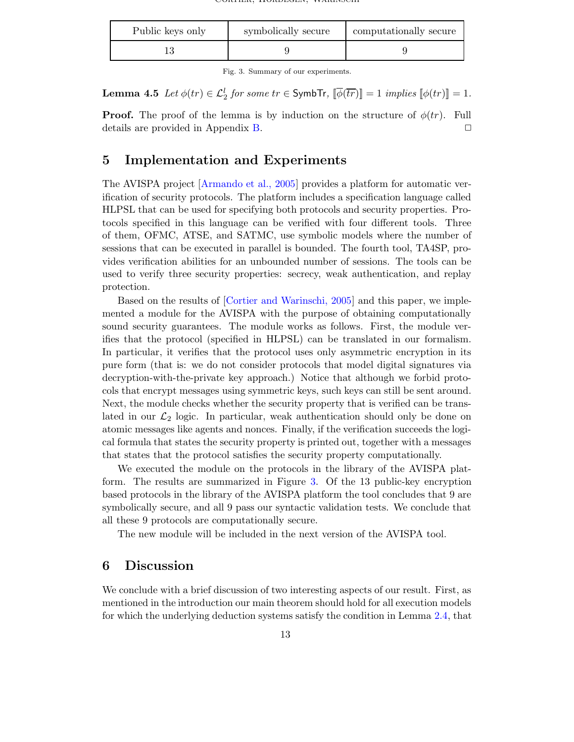| Public keys only | symbolically secure | computationally secure |
|------------------|---------------------|------------------------|
|                  |                     |                        |

<span id="page-12-1"></span>Fig. 3. Summary of our experiments.

Lemma 4.5  $Let \phi(tr) \in \mathcal{L}_2^l$  for some  $tr \in$  SymbTr,  $\lbrack\!\lbrack\bar{\phi}(\overline{tr})\rbrack\!\rbrack =1$  implies  $\lbrack\!\lbrack\phi(tr)\rbrack\!\rbrack =1.$ 

**Proof.** The proof of the lemma is by induction on the structure of  $\phi(tr)$ . Full details are provided in Appendix [B.](#page-16-0)

# <span id="page-12-0"></span>5 Implementation and Experiments

The AVISPA project [\[Armando](#page-13-6) et al., 2005] provides a platform for automatic verification of security protocols. The platform includes a specification language called HLPSL that can be used for specifying both protocols and security properties. Protocols specified in this language can be verified with four different tools. Three of them, OFMC, ATSE, and SATMC, use symbolic models where the number of sessions that can be executed in parallel is bounded. The fourth tool, TA4SP, provides verification abilities for an unbounded number of sessions. The tools can be used to verify three security properties: secrecy, weak authentication, and replay protection.

Based on the results of [Cortier and [Warinschi,](#page-13-0) 2005] and this paper, we implemented a module for the AVISPA with the purpose of obtaining computationally sound security guarantees. The module works as follows. First, the module verifies that the protocol (specified in HLPSL) can be translated in our formalism. In particular, it verifies that the protocol uses only asymmetric encryption in its pure form (that is: we do not consider protocols that model digital signatures via decryption-with-the-private key approach.) Notice that although we forbid protocols that encrypt messages using symmetric keys, such keys can still be sent around. Next, the module checks whether the security property that is verified can be translated in our  $\mathcal{L}_2$  logic. In particular, weak authentication should only be done on atomic messages like agents and nonces. Finally, if the verification succeeds the logical formula that states the security property is printed out, together with a messages that states that the protocol satisfies the security property computationally.

We executed the module on the protocols in the library of the AVISPA platform. The results are summarized in Figure [3.](#page-12-1) Of the 13 public-key encryption based protocols in the library of the AVISPA platform the tool concludes that 9 are symbolically secure, and all 9 pass our syntactic validation tests. We conclude that all these 9 protocols are computationally secure.

The new module will be included in the next version of the AVISPA tool.

# 6 Discussion

We conclude with a brief discussion of two interesting aspects of our result. First, as mentioned in the introduction our main theorem should hold for all execution models for which the underlying deduction systems satisfy the condition in Lemma [2.4,](#page-7-1) that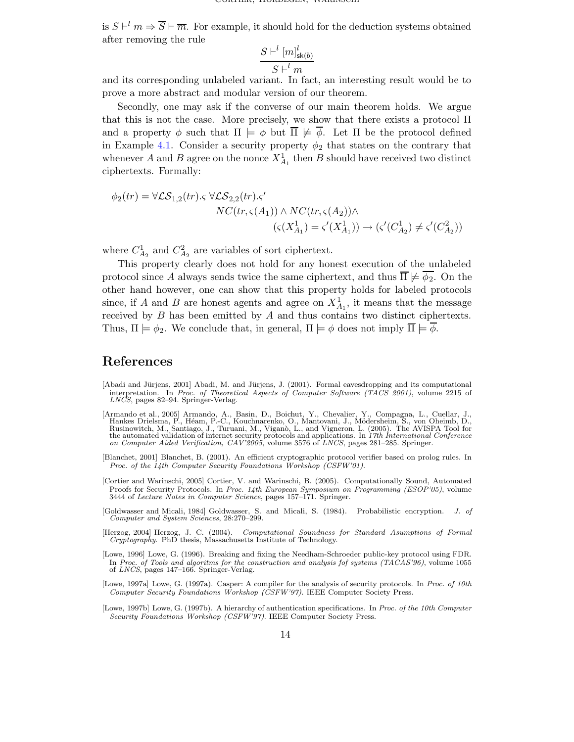is  $S \vdash^l m \Rightarrow \overline{S} \vdash \overline{m}$ . For example, it should hold for the deduction systems obtained after removing the rule

$$
\frac{S \vdash^{l} [m]_{\mathsf{sk}(b)}^{l}}{S \vdash^{l} m}
$$

and its corresponding unlabeled variant. In fact, an interesting result would be to prove a more abstract and modular version of our theorem.

Secondly, one may ask if the converse of our main theorem holds. We argue that this is not the case. More precisely, we show that there exists a protocol  $\Pi$ and a property  $\phi$  such that  $\Pi \models \phi$  but  $\overline{\Pi} \not\models \overline{\phi}$ . Let  $\Pi$  be the protocol defined in Example [4.1.](#page-10-1) Consider a security property  $\phi_2$  that states on the contrary that whenever A and B agree on the nonce  $X_{A_1}^1$  then B should have received two distinct ciphertexts. Formally:

$$
\phi_2(tr) = \forall \mathcal{LS}_{1,2}(tr). \varsigma \; \forall \mathcal{LS}_{2,2}(tr). \varsigma'
$$
  

$$
NC(tr, \varsigma(A_1)) \wedge NC(tr, \varsigma(A_2)) \wedge \langle \varsigma(X_{A_1}^1) \rangle \rightarrow \varsigma(\varsigma'(C_{A_2}^1) \neq \varsigma'(C_{A_2}^2))
$$

where  $C_{A_2}^1$  and  $C_{A_2}^2$  are variables of sort ciphertext.

This property clearly does not hold for any honest execution of the unlabeled protocol since A always sends twice the same ciphertext, and thus  $\overline{\Pi} \not\models \overline{\phi_2}$ . On the other hand however, one can show that this property holds for labeled protocols since, if A and B are honest agents and agree on  $X_{A_1}^1$ , it means that the message received by  $B$  has been emitted by  $A$  and thus contains two distinct ciphertexts. Thus,  $\Pi \models \phi_2$ . We conclude that, in general,  $\Pi \models \phi$  does not imply  $\overline{\Pi} \models \overline{\phi}$ .

# References

- <span id="page-13-3"></span>[Abadi and Jürjens, 2001] Abadi, M. and Jürjens, J. (2001). Formal eavesdropping and its computational interpretation. In Proc. of Theoretical Aspects of Computer Software (TACS 2001), volume 2215 of LNCS, pages 82–94. Springer-Verlag.
- <span id="page-13-6"></span>[Armando et al., 2005] Armando, A., Basin, D., Boichut, Y., Chevalier, Y., Compagna, L., Cuellar, J., Hankes Drielsma, P., Heam, P.-C., Kouchnarenko, O., Mantovani, J., Mödersheim, S., von Oheimb, D., Rusinowitch, M., Sant on Computer Aided Verification, CAV'2005, volume 3576 of LNCS, pages 281–285. Springer.
- <span id="page-13-4"></span>[Blanchet, 2001] Blanchet, B. (2001). An efficient cryptographic protocol verifier based on prolog rules. In Proc. of the 14th Computer Security Foundations Workshop (CSFW'01).
- <span id="page-13-0"></span>[Cortier and Warinschi, 2005] Cortier, V. and Warinschi, B. (2005). Computationally Sound, Automated Proofs for Security Protocols. In Proc. 14th European Symposium on Programming (ESOP'05), volume 3444 of Lecture Notes in Computer Science, pages 157–171. Springer.
- <span id="page-13-1"></span>[Goldwasser and Micali, 1984] Goldwasser, S. and Micali, S. (1984). Probabilistic encryption. J. of Computer and System Sciences, 28:270–299.
- <span id="page-13-2"></span>[Herzog, 2004] Herzog, J. C. (2004). Computational Soundness for Standard Asumptions of Formal Cryptography. PhD thesis, Massachusetts Institute of Technology.
- <span id="page-13-7"></span>[Lowe, 1996] Lowe, G. (1996). Breaking and fixing the Needham-Schroeder public-key protocol using FDR. In Proc. of Tools and algoritms for the construction and analysis fof systems (TACAS'96), volume 1055 of LNCS, pages 147–166. Springer-Verlag.
- <span id="page-13-5"></span>[Lowe, 1997a] Lowe, G. (1997a). Casper: A compiler for the analysis of security protocols. In Proc. of 10th Computer Security Foundations Workshop (CSFW'97). IEEE Computer Society Press.
- <span id="page-13-8"></span>[Lowe, 1997b] Lowe, G. (1997b). A hierarchy of authentication specifications. In Proc. of the 10th Computer Security Foundations Workshop (CSFW'97). IEEE Computer Society Press.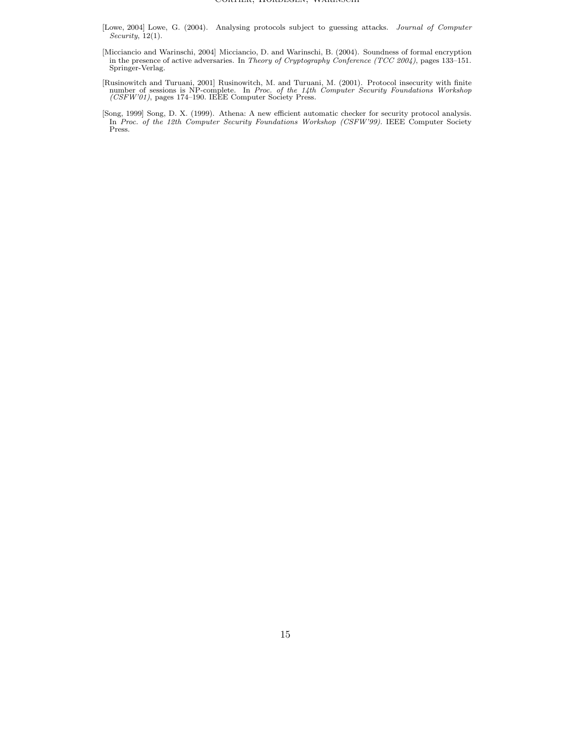- <span id="page-14-1"></span>[Lowe, 2004] Lowe, G. (2004). Analysing protocols subject to guessing attacks. Journal of Computer Security, 12(1).
- <span id="page-14-0"></span>[Micciancio and Warinschi, 2004] Micciancio, D. and Warinschi, B. (2004). Soundness of formal encryption in the presence of active adversaries. In *Theory of Cryptography Conference (TCC 2004)*, pages 133–151.<br>Springer-Verlag.
- <span id="page-14-3"></span>[Rusinowitch and Turuani, 2001] Rusinowitch, M. and Turuani, M. (2001). Protocol insecurity with finite number of sessions is NP-complete. In *Proc. of the 14th Computer Security Foundations Workshop* (*CSFW'01*), pages 1
- <span id="page-14-2"></span>[Song, 1999] Song, D. X. (1999). Athena: A new efficient automatic checker for security protocol analysis. In Proc. of the 12th Computer Security Foundations Workshop (CSFW'99). IEEE Computer Society Press.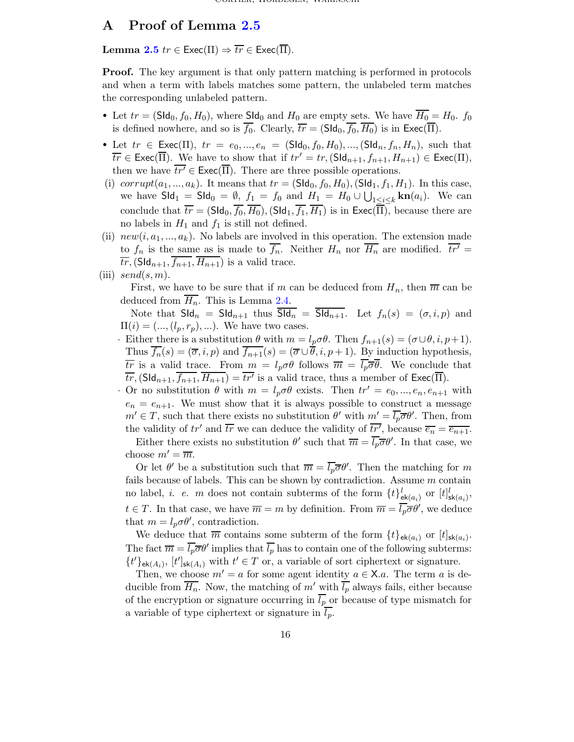## <span id="page-15-0"></span>A Proof of Lemma [2.5](#page-7-0)

Lemma [2.5](#page-7-0)  $tr \in \text{Exec}(\Pi) \Rightarrow \overline{tr} \in \text{Exec}(\overline{\Pi}).$ 

Proof. The key argument is that only pattern matching is performed in protocols and when a term with labels matches some pattern, the unlabeled term matches the corresponding unlabeled pattern.

- Let  $tr = (SId_0, f_0, H_0)$ , where  $SId_0$  and  $H_0$  are empty sets. We have  $\overline{H_0} = H_0$ .  $f_0$ is defined nowhere, and so is  $\overline{f_0}$ . Clearly,  $\overline{tr} = (\text{SId}_0, \overline{f_0}, \overline{H_0})$  is in  $\text{Exec}(\overline{\Pi})$ .
- Let  $tr \in \text{Exec}(\Pi)$ ,  $tr = e_0, ..., e_n = (\text{SId}_0, f_0, H_0), ..., (\text{SId}_n, f_n, H_n)$ , such that  $\overline{tr} \in \text{Exec}(\overline{\Pi})$ . We have to show that if  $tr' = tr$ ,  $(\text{SId}_{n+1}, f_{n+1}, H_{n+1}) \in \text{Exec}(\Pi)$ , then we have  $\overline{tr'} \in \text{Exec}(\overline{\Pi})$ . There are three possible operations.
- (i) corrupt $(a_1, ..., a_k)$ . It means that  $tr = (S \mathsf{Id}_0, f_0, H_0)$ ,  $(S \mathsf{Id}_1, f_1, H_1)$ . In this case, we have  $\mathsf{Sld}_1 = \mathsf{Sld}_0 = \emptyset$ ,  $f_1 = f_0$  and  $H_1 = H_0 \cup \bigcup_{1 \leq i \leq k} \mathbf{kn}(a_i)$ . We can conclude that  $\overline{tr} = (\mathsf{SId}_0, \overline{f_0}, \overline{H_0})$ ,  $(\mathsf{SId}_1, \overline{f_1}, \overline{H_1})$  is in  $\mathsf{Exec}(\overline{\Pi})$ , because there are no labels in  $H_1$  and  $f_1$  is still not defined.
- (ii)  $new(i, a_1, ..., a_k)$ . No labels are involved in this operation. The extension made to  $f_n$  is the same as is made to  $\overline{f_n}$ . Neither  $H_n$  nor  $\overline{H_n}$  are modified.  $\overline{tr'} =$  $\overline{tr}$ , (SId<sub>n+1</sub>,  $\overline{f_{n+1}}$ ,  $\overline{H_{n+1}}$ ) is a valid trace.
- (iii)  $send(s, m)$ .

First, we have to be sure that if m can be deduced from  $H_n$ , then  $\overline{m}$  can be deduced from  $\overline{H_n}$ . This is Lemma [2.4.](#page-7-1)

Note that  $\mathsf{SId}_n = \mathsf{SId}_{n+1}$  thus  $\overline{\mathsf{SId}_n} = \overline{\mathsf{SId}_{n+1}}$ . Let  $f_n(s) = (\sigma, i, p)$  and  $\Pi(i) = (..., (l_p, r_p), ...).$  We have two cases.

· Either there is a substitution  $\theta$  with  $m = l_p \sigma \theta$ . Then  $f_{n+1}(s) = (\sigma \cup \theta, i, p+1)$ . Thus  $\overline{f_n}(s) = (\overline{\sigma}, i, p)$  and  $\overline{f_{n+1}}(s) = (\overline{\sigma} \cup \overline{\theta}, i, p+1)$ . By induction hypothesis,  $\overline{tr}$  is a valid trace. From  $m = l_p \sigma \theta$  follows  $\overline{m} = l_p \overline{\sigma} \theta$ . We conclude that  $\overline{tr},(\textsf{SId}_{n+1}, \overline{f_{n+1}}, \overline{H_{n+1}}) = \overline{tr'}$  is a valid trace, thus a member of  $\textsf{Exec}(\overline{\Pi}).$ 

· Or no substitution  $\theta$  with  $m = l_p \sigma \theta$  exists. Then  $tr' = e_0, ..., e_n, e_{n+1}$  with  $e_n = e_{n+1}$ . We must show that it is always possible to construct a message  $m' \in T$ , such that there exists no substitution  $\theta'$  with  $m' = \overline{l_p \sigma} \theta'$ . Then, from the validity of  $tr'$  and  $\overline{tr}$  we can deduce the validity of  $\overline{tr'}$ , because  $\overline{e_n} = \overline{e_{n+1}}$ .

Either there exists no substitution  $\theta'$  such that  $\overline{m} = \overline{l_p} \overline{\sigma} \theta'$ . In that case, we choose  $m' = \overline{m}$ .

Or let  $\theta'$  be a substitution such that  $\overline{m} = \overline{l_p} \overline{\sigma} \theta'$ . Then the matching for m fails because of labels. This can be shown by contradiction. Assume m contain no label, *i. e. m* does not contain subterms of the form  $\{t\}^l_{\mathsf{ek}(a_i)}$  or  $[t]^l_{\mathsf{sk}(a_i)}$ ,  $t \in T$ . In that case, we have  $\overline{m} = m$  by definition. From  $\overline{m} = \overline{l_p} \overline{\sigma} \theta'$ , we deduce that  $m = l_p \sigma \theta'$ , contradiction.

We deduce that  $\overline{m}$  contains some subterm of the form  $\{t\}_{\mathsf{ek}(a_i)}$  or  $[t]_{\mathsf{sk}(a_i)}$ . The fact  $\overline{m} = \overline{l_p} \overline{\sigma} \theta'$  implies that  $\overline{l_p}$  has to contain one of the following subterms:  ${t'}_{\text{ek}(A_i)}$ ,  $[t']_{\text{sk}(A_i)}$  with  $t' \in T$  or, a variable of sort ciphertext or signature.

Then, we choose  $m' = a$  for some agent identity  $a \in \mathsf{X}.a$ . The term a is deducible from  $\overline{H_n}$ . Now, the matching of m' with  $\overline{l_p}$  always fails, either because of the encryption or signature occurring in  $\overline{l_p}$  or because of type mismatch for a variable of type ciphertext or signature in  $\overline{l_p}$ .